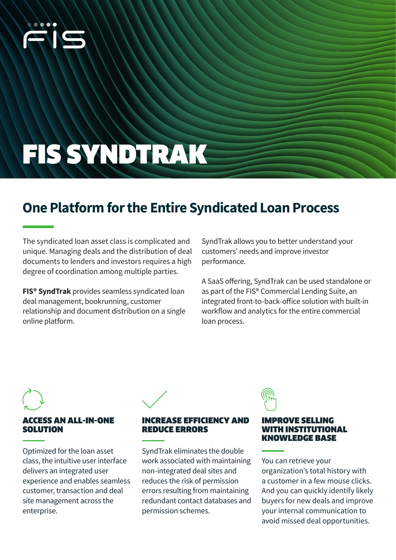

# FIS SYNDTRAK

## **One Platform for the Entire Syndicated Loan Process**

The syndicated loan asset class is complicated and unique. Managing deals and the distribution of deal documents to lenders and investors requires a high degree of coordination among multiple parties.

**FIS® SyndTrak** provides seamless syndicated loan deal management, bookrunning, customer relationship and document distribution on a single online platform.

SyndTrak allows you to better understand your customers' needs and improve investor performance.

A SaaS offering, SyndTrak can be used standalone or as part of the FIS® Commercial Lending Suite, an integrated front-to-back-office solution with built-in workflow and analytics for the entire commercial loan process.

### **ESS AN ALL-IN-ONE** SOLUTION

Optimized for the loan asset class, the intuitive user interface delivers an integrated user experience and enables seamless customer, transaction and deal site management across the enterprise.



#### REASE EFFICIENCY AND REDUCE ERRORS

SyndTrak eliminates the double work associated with maintaining non-integrated deal sites and reduces the risk of permission errors resulting from maintaining redundant contact databases and permission schemes.

#### IMPROVE SELLING WITH INSTITUTIONAL KNOWLEDGE BASE

You can retrieve your organization's total history with a customer in a few mouse clicks. And you can quickly identify likely buyers for new deals and improve your internal communication to avoid missed deal opportunities.